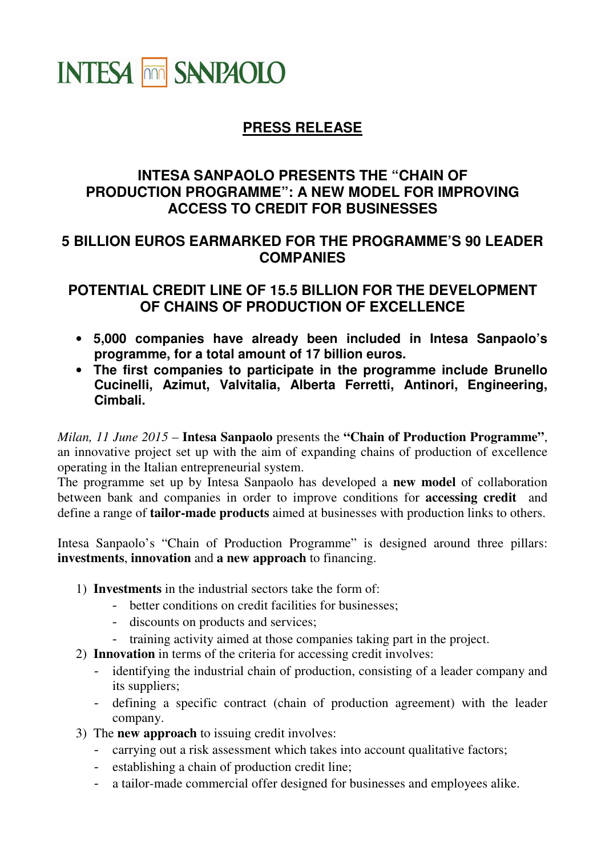# **INTESA THE SANPAOLO**

## **PRESS RELEASE**

#### **INTESA SANPAOLO PRESENTS THE "CHAIN OF PRODUCTION PROGRAMME": A NEW MODEL FOR IMPROVING ACCESS TO CREDIT FOR BUSINESSES**

#### **5 BILLION EUROS EARMARKED FOR THE PROGRAMME'S 90 LEADER COMPANIES**

### **POTENTIAL CREDIT LINE OF 15.5 BILLION FOR THE DEVELOPMENT OF CHAINS OF PRODUCTION OF EXCELLENCE**

- **5,000 companies have already been included in Intesa Sanpaolo's programme, for a total amount of 17 billion euros.**
- **The first companies to participate in the programme include Brunello Cucinelli, Azimut, Valvitalia, Alberta Ferretti, Antinori, Engineering, Cimbali.**

*Milan, 11 June 2015* – **Intesa Sanpaolo** presents the **"Chain of Production Programme"**, an innovative project set up with the aim of expanding chains of production of excellence operating in the Italian entrepreneurial system.

The programme set up by Intesa Sanpaolo has developed a **new model** of collaboration between bank and companies in order to improve conditions for **accessing credit** and define a range of **tailor-made products** aimed at businesses with production links to others.

Intesa Sanpaolo's "Chain of Production Programme" is designed around three pillars: **investments**, **innovation** and **a new approach** to financing.

- 1) **Investments** in the industrial sectors take the form of:
	- better conditions on credit facilities for businesses;
	- discounts on products and services;
	- training activity aimed at those companies taking part in the project.
- 2) **Innovation** in terms of the criteria for accessing credit involves:
	- identifying the industrial chain of production, consisting of a leader company and its suppliers;
	- defining a specific contract (chain of production agreement) with the leader company.
- 3) The **new approach** to issuing credit involves:
	- carrying out a risk assessment which takes into account qualitative factors;
	- establishing a chain of production credit line;
	- a tailor-made commercial offer designed for businesses and employees alike.